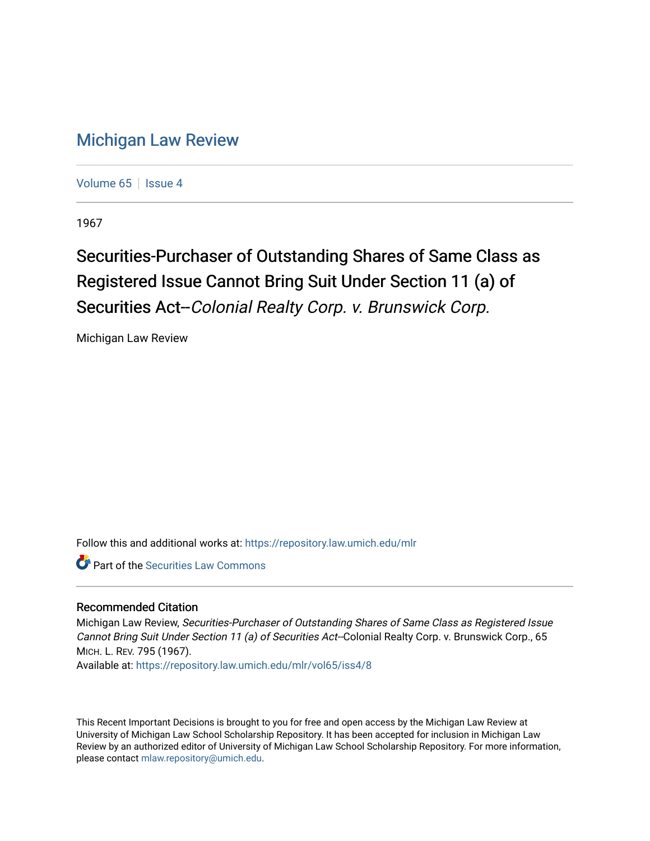## [Michigan Law Review](https://repository.law.umich.edu/mlr)

[Volume 65](https://repository.law.umich.edu/mlr/vol65) | [Issue 4](https://repository.law.umich.edu/mlr/vol65/iss4)

1967

## Securities-Purchaser of Outstanding Shares of Same Class as Registered Issue Cannot Bring Suit Under Section 11 (a) of Securities Act--Colonial Realty Corp. v. Brunswick Corp.

Michigan Law Review

Follow this and additional works at: [https://repository.law.umich.edu/mlr](https://repository.law.umich.edu/mlr?utm_source=repository.law.umich.edu%2Fmlr%2Fvol65%2Fiss4%2F8&utm_medium=PDF&utm_campaign=PDFCoverPages) 

**P** Part of the Securities Law Commons

## Recommended Citation

Michigan Law Review, Securities-Purchaser of Outstanding Shares of Same Class as Registered Issue Cannot Bring Suit Under Section 11 (a) of Securities Act--Colonial Realty Corp. v. Brunswick Corp., 65 MICH. L. REV. 795 (1967).

Available at: [https://repository.law.umich.edu/mlr/vol65/iss4/8](https://repository.law.umich.edu/mlr/vol65/iss4/8?utm_source=repository.law.umich.edu%2Fmlr%2Fvol65%2Fiss4%2F8&utm_medium=PDF&utm_campaign=PDFCoverPages)

This Recent Important Decisions is brought to you for free and open access by the Michigan Law Review at University of Michigan Law School Scholarship Repository. It has been accepted for inclusion in Michigan Law Review by an authorized editor of University of Michigan Law School Scholarship Repository. For more information, please contact [mlaw.repository@umich.edu.](mailto:mlaw.repository@umich.edu)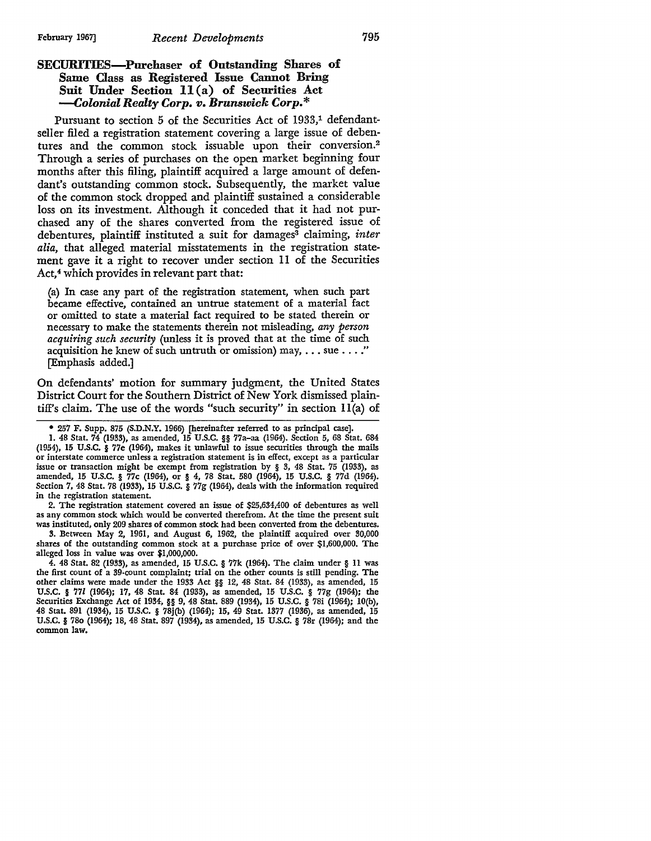## **SECURITIES-Purchaser of Outstanding Shares of Same Class as Registered Issue Cannot Bring Snit Under Section 11 (a) of Securities Act**  *--Colonial Realty Corp. v. Brunswick Corp.\**

Pursuant to section 5 of the Securities Act of 1933,<sup>1</sup> defendantseller filed a registration statement covering a large issue of debentures and the common stock issuable upon their conversion.<sup>2</sup> Through a series of purchases on the open market beginning four months after this filing, plaintiff acquired a large amount of defendant's outstanding common stock. Subsequently, the market value of the common stock dropped and plaintiff sustained a considerable loss on its investment. Although it conceded that it had not purchased any of the shares converted from the registered issue of debentures, plaintiff instituted a suit for damages<sup>3</sup> claiming, *inter alia,* that alleged material misstatements in the registration statement gave it a right to recover under section 11 of the Securities Act,<sup>4</sup> which provides in relevant part that:

(a) In case any part of the registration statement, when such part became effective, contained an untrue statement of a material fact or omitted to state a material fact required to be stated therein or necessary to make the statements therein not misleading, *any person acquiring such security* (unless it is proved that at the time of such acquisition he knew of such untruth or omission) may,  $\dots$  sue  $\dots$ ." [Emphasis added.]

On defendants' motion for summary judgment, the United States District Court for the Southern District of New York dismissed plaintiff's claim. The use of the words "such security" in section ll(a) of

I. 48 Stat. 74 (1933), as amended, 15 U.S.C. §§ 77a-aa (1964). Section 5, 68 Stat. 684 (1954), 15 U.S.C. § 77e (1964), makes it unlawful to issue securities through the mails or interstate commerce unless a registration statement is in effect, except as a particular issue or transaction might be exempt from registration by § 3, 48 Stat. 75 (1933), as amended, 15 U.S.C. § 77c (1964), or § 4, 78 Stat. 580 (1964), 15 U.S.C. § 77d (1964). Section 7, 48 Stat. 78 (1933), 15 U.S.C. § 77g (1964), deals with the information required in the registration statement.

2. The registration statement covered an issue of \$25,634,400 of debentures as well as any common stock which would be converted therefrom. At the time the present suit was instituted, only 209 shares of common stock had been converted from the debentures.

3. l3etween May 2, 1961, and August 6, 1962, the plaintiff acquired over 30,000 shares of the outstanding common stock at a purchase price of over \$1,600,000. The alleged loss in value was over \$1,000,000.

4. 48 Stat. 82 (1933), as amended, 15 U.S.C. § 77k (1964). The claim under § 11 was the first count of a 39-count complaint; trial on the other counts is still pending. The other claims were made under the 1933 Act §§ 12, 48 Stat. 84 (1933), as amended, 15 U.S.C. § 771 (1964); 17, 48 Stat. 84 (1933), as amended, 15 U.S.C. § 77g (1964); the Securities Exchange Act of 1934, §§ 9, 48 Stat. 889 (1934), 15 U.S.C. § 78i (1964); lO(b), 48 Stat. 891 (1934), 15 U.S.C. § 78j(b) (1964); 15, 49 Stat. 1377 (1936), as amended, 15 U.S.C. § 780 (1964); 18, 48 Stat. 897 (1934), as amended, 15 U.S.C. § 78r (1964); and the common law.

<sup>• 257</sup> F. Supp. 875 (S.D.N.Y. 1966) (hereinafter referred to as principal case].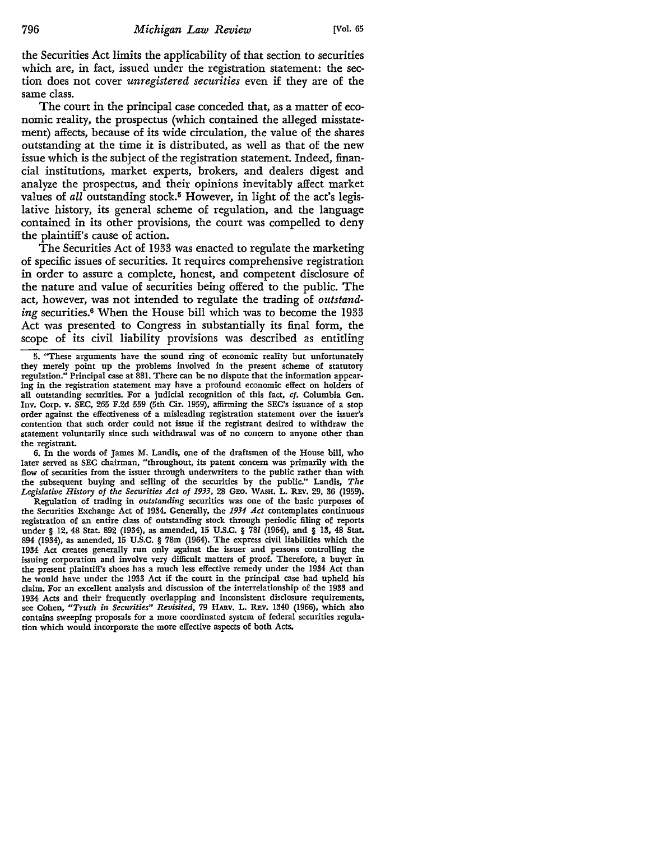the Securities Act limits the applicability of that section to securities which are, in fact, issued under the registration statement: the section does not cover *unregistered securities* even if they are of the same class.

The court in the principal case conceded that, as a matter of economic reality, the prospectus (which contained the alleged misstatement) affects, because of its wide circulation, the value of the shares outstanding at the time it is distributed, as well as that of the new issue which is the subject of the registration statement. Indeed, financial institutions, market experts, brokers, and dealers digest and analyze the prospectus, and their opinions inevitably affect market values of *all* outstanding stock.<sup>5</sup> However, in light of the act's legislative history, its general scheme of regulation, and the language contained in its other provisions, the court was compelled to deny the plaintiff's cause of action.

The Securities Act of 1933 was enacted to regulate the marketing of specific issues of securities. It requires comprehensive registration in order to assure a complete, honest, and competent disclosure of the nature and value of securities being offered to the public. The act, however, was not intended to regulate the trading of *outstanding* securities.<sup>6</sup> When the House bill which was to become the 1933 Act was presented to Congress in substantially its final form, the scope of its civil liability provisions was described as entitling

6. In the words of James M. Landis, one of the draftsmen of the House bill, who later served as SEC chairman, "throughout, its patent concern was primarily with the flow of securities from the issuer through underwriters to the public rather than with the subsequent buying and selling of the securities by the public." Landis, *The Legislative History of the Securities Act of 1933,* 28 GEO. WASH. L. REv. 29, 36 (1959).

Regulation of trading in *outstanding* securities was one of the basic purposes of the Securities Exchange Act of 1934. Generally, the *1934 Act* contemplates continuous registration of an entire class of outstanding stock through periodic filing of reports under § 12, 48 Stat. 892 (1934), as amended, 15 U.S.C. § 781 (1964), and § 13, 48 Stat. 894 (1934), as amended, 15 U.S.C. § 78m (1964). The express civil liabilities which the 1934 Act creates generally run only against the issuer and persons controlling the issuing corporation and involve very difficult matters of proof. Therefore, a buyer in the present plaintiff's shoes has a much less effective remedy under the 1934 Act than he would have under the 1933 Act if the court in the principal case had upheld his claim. For an excellent analysis and discussion of the interrelationship of the 1933 and 1934 Acts and their frequently overlapping and inconsistent disclosure requirements, see Cohen, *"Truth in Securities" Revisited,* 79 HARv. L. REv. 1340 (1966), which also contains sweeping proposals for a more coordinated system of federal securities regulation which would incorporate the more effective aspects of both Acts.

<sup>5. &</sup>quot;These arguments have the sound ring of economic reality but unfortunately they merely point up the problems involved in the present scheme of statutory regulation." Principal case at 881. There can be no dispute that the information appearing in the registration statement may have a profound economic effect on holders of all outstanding securities. For a judicial recognition of this fact, *cf.* Columbia Gen. Inv. Corp. v. SEC, 265 F.2d 559 (5th Cir. 1959), affirming the SEC's issuance of a stop order against the effectiveness of a misleading registration statement over the issuer's contention that such order could not issue if the registrant desired to withdraw the statement voluntarily since such withdrawal was of no concern to anyone other than the registrant.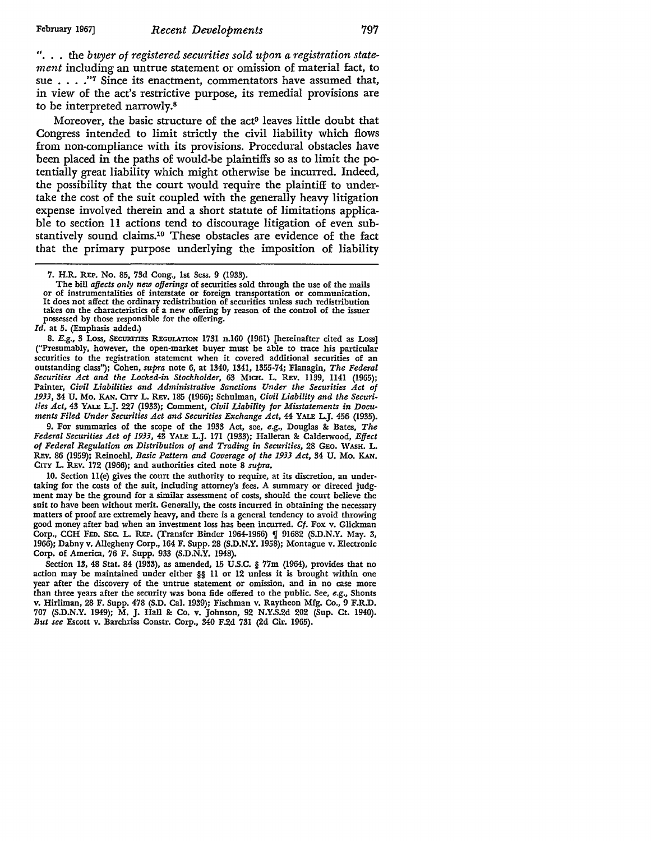". . . the *buyer of registered securities sold upon a registration statement* including an untrue statement or omission of material fact, to sue . . . . "<sup>7</sup> Since its enactment, commentators have assumed that, in view of the act's restrictive purpose, its remedial provisions are to be interpreted narrowly.<sup>8</sup>

Moreover, the basic structure of the act<sup>9</sup> leaves little doubt that Congress intended to limit strictly the civil liability which flows from non-compliance with its provisions. Procedural obstacles have been placed in the paths of would-be plaintiffs so as to limit the potentially great liability which might otherwise be incurred. Indeed, the possibility that the court would require the plaintiff to undertake the cost of the suit coupled with the generally heavy litigation expense involved therein and a short statute of limitations applicable to section 11 actions tend to discourage litigation of even substantively sound claims.10 These obstacles are evidence of the fact that the primary purpose underlying the imposition of liability

7. H.R. REP. No. 85, 73d Cong., 1st Sess. 9 (1933).<br>The bill affects only new offerings of securities sold through the use of the mails or of instrumentalities of interstate or foreign transportation or communication. It does not affect the ordinary redistribution of securities unless such redistribution takes on the characteristics of a new offering by reason of the control of the issuer possessed by those responsible for the offering.

*Id.* at 5. (Emphasis added.)

8. *E.g.*, 3 Loss, SECURITIES REGULATION 1731 n.160 (1961) [hereinafter cited as Loss] ("Presumably, however, the open-market buyer must be able to trace his particular securities to the registration statement when it covered additional securities of an outstanding class''); Cohen, *supra* note 6, at 1340, 1341, 1355-74; Flanagin, *The Federal Securities Act and the Locked-in Stockholder,* 63 MICH. L. REv. 1139, 1141 (1965); Painter, *Civil Liabilities and Administrative Sanctions Under the Securities Act of 1933,* 34 U. Mo. KAN. CITY L. REv. 185 (1966); Schulman, *Civil Liability and the Securities Act,* 43 YALE L.J. 227 (1933); Comment, *Civil Liability for Misstatements in Documents Filed Under Securities Act and Securities Exchange Act,* 44 YALE L.J. 456 (1935).

9. For summaries of the scope of the 1933 Act, see, *e.g.,* Douglas &: Bates, *The Federal Securities Act of 1933,* 43 YALE L.J. 171 (1933); Halleran &: Calderwood, *Effect of Federal Regulation* on *Distribution of and Trading in Securities,* 28 GEO. WASH. L. REv. 86 (1959); Reinoehl, *Basic Pattern and Coverage of the 1933 Act,* 34 U. Mo. KAN. CITY L. REv. 172 (1966); and authorities cited note 8 *supra.* 

10. Section 11(e) gives the court the authority to require, at its discretion, an undertaking for the costs of the suit, including attorney's fees. A summary or direced judgment may be the ground for a similar assessment of costs, should the court believe the suit to have been without merit. Generally, the costs incurred in obtaining the necessary matters of proof are extremely heavy, and there is a general tendency to avoid throwing good money after bad when an investment loss has been incurred. *Cf.* Fox v. Glickman Corp., CCH FED. SEC. L. REP. (Transfer Binder 1964-1966) ¶ 91682 (S.D.N.Y. May. 3, 1966); Dabny v. Allegheny Corp., 164 F. Supp. 28 (S.D.N.Y. 1958); Montague v. Electronic Corp. of America, 76 F. Supp. 933 (S.D.N.Y. 1948).

Section 13, 48 Stat. 84 (1933), as amended, 15 U.S.C. § 77m (1964), provides that no action may be maintained under either §§ II or 12 unless it is brought within one year after the discovery of the untrue statement or omission, and in no case more than three years after the security was bona fide offered to the public. See, *e.g.,* Shonts v. Hirliman, 28 F. Supp. 478 (S.D. Cal. 1939); Fischman v. Raytheon Mfg. Co., 9 F.R.D. 707 (S.D.N.Y. 1949); M. J. Hall &: Co. v. Johnson, 92 N.Y.S.2d 202 (Sup. Ct. 1940). *But see* Escott v. Barchriss Constr. Corp., 340 F.2d 731 (2d Cir. 1965).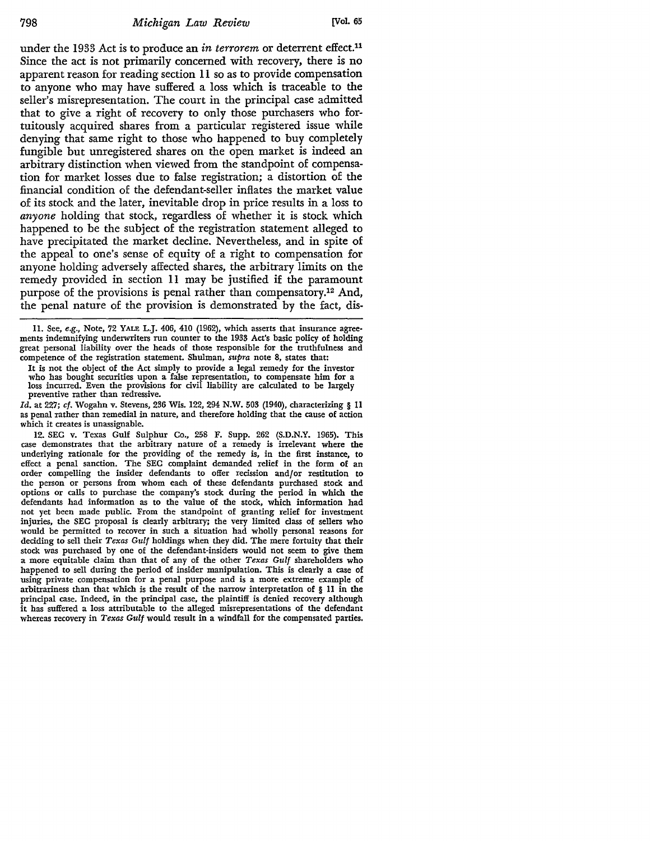under the 1933 Act is to produce an *in terrorem* or deterrent effect.<sup>11</sup> Since the act is not primarily concerned with recovery, there is no apparent reason for reading section 11 so as to provide compensation to anyone who may have suffered a loss which is traceable to the seller's misrepresentation. The court in the principal case admitted that to give a right of recovery to only those purchasers who fortuitously acquired shares from a particular registered issue while denying that same right to those who happened to buy completely fungible but unregistered shares on the open market is indeed an arbitrary distinction when viewed from the standpoint of compensation for market losses due to false registration; a distortion of the financial condition of the defendant-seller inflates the market value of its stock and the later, inevitable drop in price results in a loss to *anyone* holding that stock, regardless of whether it is stock which happened to be the subject of the registration statement alleged to have precipitated the market decline. Nevertheless, and in spite of the appeal to one's sense of equity of a right to compensation for anyone holding adversely affected shares, the arbitrary limits on the remedy provided in section 11 may be justified if the paramount purpose of the provisions is penal rather than compensatory.12 And, the penal nature of the provision is demonstrated by the fact, dis-

11. See, *e.g.,* Note, 72 YALE L.J. 406, 410 (1962), which asserts that insurance agree• ments indemnifying underwriters run counter to the 1933 Act's basic policy of holding great personal liability over the heads of those responsible for the truthfulness and competence of the registration statement. Shulman, *supra* note 8, states that:

It is not the object of the Act simply to provide a legal remedy for the investor who has bought securities upon a false representation, to compensate him for a loss incurred. Even the provisions for civil liability are calculated to be largely preventive rather than redressive.

*Id.* at 227; cf. Wogahn v. Stevens, 236 Wis. 122, 294 N.W. 503 (1940), characterizing § 11 as penal rather than remedial in nature, and therefore holding that the cause of action which it creates is unassignable.

12. SEC v. Texas Gulf Sulphur Co., 258 F. Supp. 262 (S.D.N.Y. 1965). This case demonstrates that the arbitrary nature of a remedy is irrelevant where the underlying rationale for the providing of the remedy is, in the first instance, to effect a penal sanction. The SEC complaint demanded relief in the form of an order compelling the insider defendants to offer recission and/or restitution to the person or persons from whom each of these defendants purchased stock and options or calls to purchase the company's stock during the period in which the defendants had information as to the value of the stock, which information had not yet been made public. From the standpoint of granting relief for investment injuries, the SEC proposal is clearly arbitrary; the very limited class of sellers who would be permitted to recover in such a situation had wholly personal reasons for deciding to sell their *Texas Gulf* holdings when they did. The mere fortuity that their stock was purchased by one of the defendant-insiders would not seem to give them a more equitable claim than that of any of the other *Texas Gulf* shareholders who happened to sell during the period of insider manipulation. This is clearly a case of using private compensation for a penal purpose and is a more extreme example of arbitrariness than that which is the result of the narrow interpretation of § 11 in the principal case. Indeed, in the principal case, the plaintiff is denied recovery although it has suffered a loss attributable to the alleged misrepresentations of the defendant whereas recovery in *Texas Gulf* would result in a windfall for the compensated parties.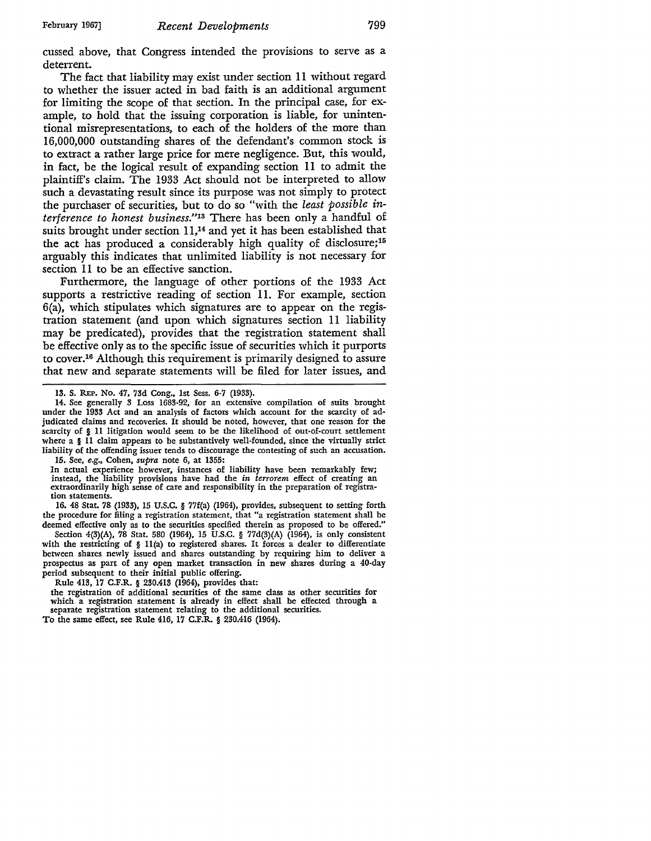cussed above, that Congress intended the provisions to serve as a deterrent.

The fact that liability may exist under section 11 without regard to whether the issuer acted in bad faith is an additional argument for limiting the scope of that section. In the principal case, for example, to hold that the issuing corporation is liable, for unintentional misrepresentations, to each of the holders of the more than 16,000,000 outstanding shares of the defendant's common stock is to extract a rather large price for mere negligence. But, this would, in fact, be the logical result of expanding section 11 to admit the plaintiff's claim. The 1933 Act should not be interpreted to allow such a devastating result since its purpose was not simply to protect the purchaser of securities, but to do so "with the *least possible interference to honest business."13* There has been only a handful of suits brought under section 11,<sup>14</sup> and yet it has been established that the act has produced a considerably high quality of disclosure;<sup>15</sup> arguably this indicates that unlimited liability is not necessary for section 11 to be an effective sanction.

Furthermore, the language of other portions of the 1933 Act supports a restrictive reading of section 11. For example, section 6(a), which stipulates which signatures are to appear on the registration statement (and upon which signatures section 11 liability may be predicated), provides that the registration statement shall be effective only as to the specific issue of securities which it purports to cover.16 Although this requirement is primarily designed to assure that new and separate statements will be filed for later issues, and

14. See generally 3 Loss 1683-92, for an extensive compilation of suits brought under the 1933 Act and an analysis of factors which account for the scarcity of adjudicated claims and recoveries. It should be noted, however, that one reason for the scarcity of § 11 litigation would seem to be the likelihood of out-of-court settlement where a § 11 claim appears to be substantively well-founded, since the virtually strict liability of the offending issuer tends to discourage the contesting of such an accusation. 15. See, *e.g.,* Cohen, *supra* note 6, at 1355:

In actual experience however, instances of liability have been remarkably few; instead, the liability provisions have had the *in terrorem* effect of creating an extraordinarily high sense of care and responsibility in the preparation of registration statements.

16. 48 Stat. 78 (1933), 15 U.S.C. § 77f(a) (1964), provides, subsequent to setting forth the procedure for filing a registration statement, that "a registration statement shall be deemed effective only as to the securities specified therein as proposed to be offered."

Section 4(3)(A), 78 Stat. 580 (1964), 15 U.S.C. § 77d(3)(A) (1964), is only consistent with the restricting of § ll(a) to registered shares. It forces a dealer to differentiate between shares newly issued and shares outstanding by requiring him to deliver a prospectus as part of any open market transaction in new shares during a 40-day period subsequent to their initial public offering.

Rule 413, 17 C.F.R. § 230.413 (1964), provides that:

the registration of additional securities of the same class as other securities for which a registration statement is already in effect shall be effected through a separate registration statement relating to the additional securities. To the same effect, see Rule 416, 17 C.F.R. § 230.416 (1964).

<sup>13.</sup> S. REP. No. 47, 73d Cong., 1st Sess. 6-7 (1933).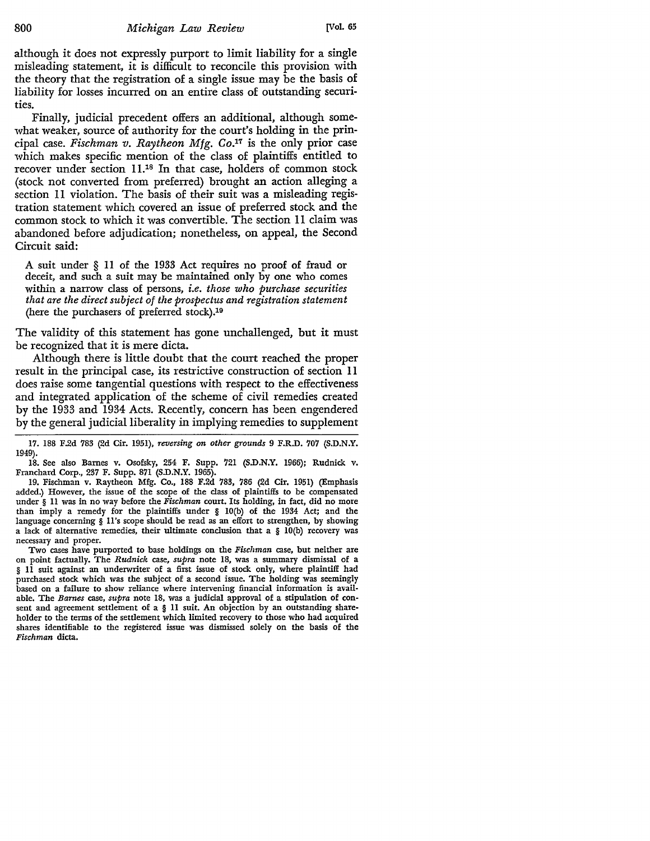although it does not expressly purport to limit liability for a single misleading statement, it is difficult to reconcile this provision with the theory that the registration of a single issue may be the basis of liability for losses incurred on an entire class of outstanding securities.

Finally, judicial precedent offers an additional, although somewhat weaker, source of authority for the court's holding in the principal case. *Fischman v. Raytheon Mfg.* Co.17 is the only prior case which makes specific mention of the class of plaintiffs entitled to recover under section 11.18 In that case, holders of common stock (stock not converted from preferred) brought an action alleging a section 11 violation. The basis of their suit was a misleading registration statement which covered an issue of preferred stock and the common stock to which it was convertible. The section 11 claim was abandoned before adjudication; nonetheless, on appeal, the Second Circuit said:

A suit under § 11 of the 1933 Act requires no proof of fraud or deceit, and such a suit may be maintained only by one who comes within a narrow class of persons, *i.e. those who purchase securities that are the direct subject of the prospectus and registration statement*  (here the purchasers of preferred stock).19

The validity of this statement has gone unchallenged, but it must be recognized that it is mere dicta.

Although there is little doubt that the court reached the proper result in the principal case, its restrictive construction of section 11 does raise some tangential questions with respect to the effectiveness and integrated application of the scheme of civil remedies created by the 1933 and 1934 Acts. Recently, concern has been engendered by the general judicial liberality in implying remedies to supplement

17. 188 F.2d 783 (2d Cir. 1951), *reversing on other grounds* 9 F.R.D. 707 (S.D.N.Y. 1949).

18. See also Barnes v. Osofsky, 254 F. Supp. 721 **(S.D.N.Y.** 1966); Rudnick v. Franchard Corp., 237 **F.** Supp. 871 **(S.D.N.Y.** 1965).

19. Fischman v. Raytheon Mfg. Co., 188 F.2d 783, 786 (2d Cir. 1951) (Emphasis added.) However, the issue of the scope of the class of plaintiffs to be compensated under § 11 was in no way before the *Fischman* court. Its holding, in fact, did no more than imply a remedy for the plaintiffs under § IO(b) of the 1934 Act; and the language concerning § 11 's scope should be read as an effort to strengthen, by showing a lack of alternative remedies, their ultimate conclusion that a § IO(b) recovery was necessary and proper.

Two cases have purported to base holdings on the *Fischman* case, but neither are on point factually. The *Rudnick* case, *supra* note 18, was a summary dismissal of a § 11 suit against an underwriter of a first issue of stock only, where plaintiff had purchased stock which was the subject of a second issue. The holding was seemingly based on a failure to show reliance where intervening financial information is available. The *Barnes* case, *supra* note 18, was a judicial approval of a stipulation of consent and agreement settlement of a § 11 suit. An objection by an outstanding shareholder to the terms of the settlement which limited recovery to those who had acquired shares identifiable to the registered issue was dismissed solely on the basis of the *Fischman* dicta.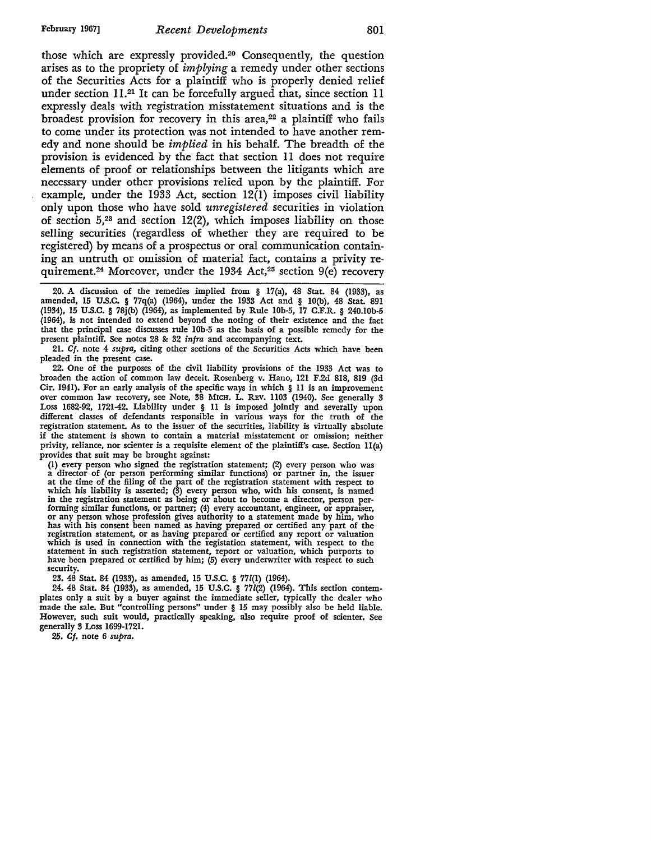those which are expressly provided.2° Consequently, the question arises as to the propriety of *implying* a remedy under other sections of the Securities Acts for a plaintiff who is properly denied relief under section 11.21 It can be forcefully argued that, since section 11 expressly deals with registration misstatement situations and is the broadest provision for recovery in this area,<sup>22</sup> a plaintiff who fails to come under its protection was not intended to have another remedy and none should be *implied* in his behalf. The breadth of the provision is evidenced by the fact that section 11 does not require elements of proof or relationships between the litigants which are necessary under other provisions relied upon by the plaintiff. For example, under the 1933 Act, section 12(1) imposes civil liability only upon those who have sold *unregistered* securities in violation of section  $5<sup>23</sup>$  and section  $12(2)$ , which imposes liability on those selling securities (regardless of whether they are required to be registered) by means of a prospectus or oral communication containing an untruth or omission of material fact, contains a privity requirement.<sup>24</sup> Moreover, under the 1934 Act,<sup>25</sup> section  $9(e)$  recovery

20. A discussion of the remedies implied from § 17(a), 48 Stat. 84 (1933), as amended, 15 U.S.C. § 77q{a) (1964), under the 1933 Act and § IO(b), 48 Stat. 891 (1934), 15 U.S.C. § 78j(b) (1964), as implemented by Rule lOb-5, 17 C.F.R. § 240.l0b-5 (1964), is not intended to extend beyond the noting of their existence and the fact that the principal case discusses rule lOb-5 as the basis of a possible remedy for the present plaintiff. See notes 28 & 32 *infra* and accompanying text.

21. *Cf.* note 4 *supra,* citing other sections of the Securities Acts which have been pleaded in the present case.

22. One of the purposes of the civil liability provisions of the 1933 Act was to broaden the action of common law deceit. Rosenberg v. Hano, 121 F.2d 818, 819 (3d Cir. 1941). For an early analysis of the specific ways in which § 11 is an improvement over common law recovery, see Note, 38 MICH. L. R.Ev. 1103 (1940). See generally 3 Loss 1682-92, 1721-42. Liability under § 11 is imposed jointly and severally upon different classes of defendants responsible in various ways for the truth of the registration statement. As to the issuer of the securities, liability is virtually absolute if the statement is shown to contain a material misstatement or omission; neither privity, reliance, nor scienter is a requisite element of the plaintiff's case. Section ll(a) provides that suit may be brought against:<br>(1) every person who signed the registration statement; (2) every person who was

a director of (or person performing similar functions) or partner in, the issuer at the time of the filing of the part of the registration statement with respect to which his liability is asserted; (3) every person who, with his consent, is named in the registration statement as being or about to become a director, person performing similar functions, or partner; (4) every accountant, engineer, or appraiser, or any person whose profession gives authority to a state has with his consent been named as having prepared or certified any part of the registration statement, or as having prepared or certified any report or valuation which is used in connection with the registation statement, with respect to the statement in such registration statement, report or valuation, which purports to have been prepared or certified by him; (5) every underwriter with respect to such security.

23. 48 Stat. 84 (1933), as amended, 15 U.S.C. § 771(1) (1964).

24. 48 Stat. 84 (1933), as amended, 15 U.S.C. § 771(2) (1964). This section contem• plates only a suit by a buyer against the immediate seller, typically the dealer who made the sale. But "controlling persons" under § 15 may possibly also be held liable. However, such suit would, practically speaking, also require proof of scienter. See generally 3 Loss 1699-1721.

25. *Cf.* note 6 *supra.*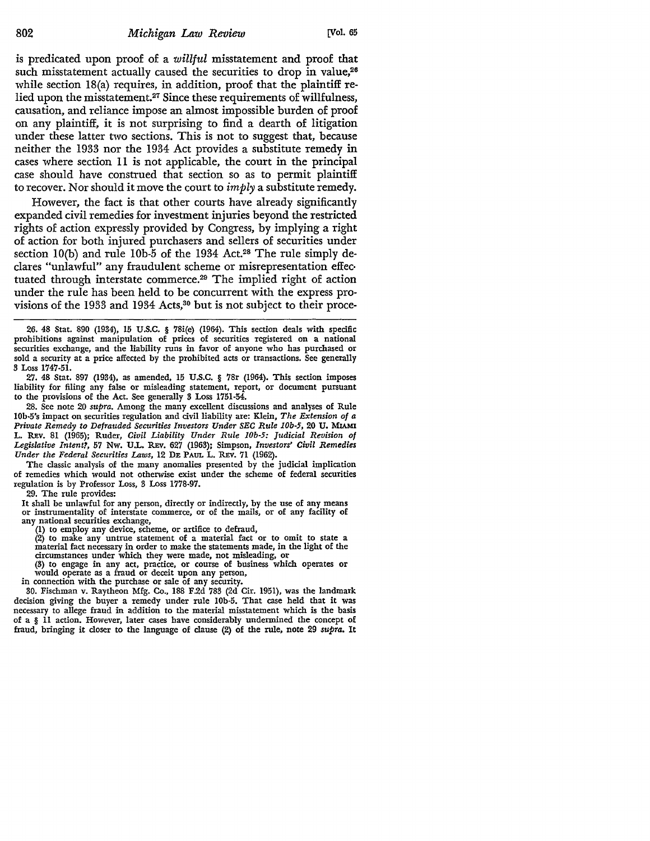is predicated upon proof of a willful misstatement and proof that such misstatement actually caused the securities to drop in value,<sup>26</sup> while section 18(a) requires, in addition, proof that the plaintiff relied upon the misstatement.27 Since these requirements of willfulness, causation, and reliance impose an almost impossible burden of proof on any plaintiff, it is not surprising to find a dearth of litigation under these latter two sections. This is not to suggest that, because neither the 1933 nor the 1934 Act provides a substitute remedy in cases where section 11 is not applicable, the court in the principal case should have construed that section so as to permit plaintiff to recover. Nor should it move the court to  $imply$  a substitute remedy.

However, the fact is that other courts have already significantly expanded civil remedies for investment injuries beyond the restricted rights of action expressly provided by Congress, by implying a right of action for both injured purchasers and sellers of securities under section 10(b) and rule 10b-5 of the 1934 Act.<sup>28</sup> The rule simply declares "unlawful" any fraudulent scheme or misrepresentation effec• tuated through interstate commerce.29 The implied right of action under the rule has been held to be concurrent with the express provisions of the 1933 and 1934 Acts,<sup>30</sup> but is not subject to their proce-

26. 48 Stat. 890 (1934), 15 U.S.C. § 78i(e) (1964). This section deals with specific prohibitions against manipulation of prices of securities registered on a national securities exchange, and the liability runs in favor of anyone who has purchased or sold a security at a price affected by the prohibited acts or transactions. See generally 3 Loss 1747-51.

27. 48 Stat. 897 (1934), as amended, 15 U.S.C. § 78r (1964). This section imposes liability for filing any false or misleading statement, report, or document pursuant to the provisions of the Act. See generally 3 Loss 1751-54.

28. See note 20 *supra.* Among the many excellent discussions and analyses of Rule 10b-5's impact on securities regulation and civil liability are: Klein, *The Extension of a Private Remedy to Defrauded Securities Investors Under SEC Rule I0b-5,* 20 U. MIAMI L. REv. 81 (1965); Ruder, *Civil Liability Under Rule I0b-5: Judicial Revision of Legislative Intent?,* 57 Nw. U.L. REv. 627 (1963); Simpson, *Investors' Civil Remedies*  Under the Federal Securities Laws, 12 DE PAUL L. REV. 71 (1962).

The classic analysis of the many anomalies presented by the judicial implication of remedies which would not otherwise exist under the scheme of federal securities regulation is by Professor Loss, 3 Loss 1778-97.

29. The rule provides:

It shall be unlawful for any person, directly or indirectly, by the use of any means or instrumentality of interstate commerce, or of the mails, or of any facility of any national securities exchange,

(1) to employ any device, scheme, or artifice to defraud, material fact necessary in order to make the statements made, in the light of the circumstances under which they were made, not misleading, or

circumstances under which they were made, not misleading, or (3) to engage in any act, practice, or course of business which operates or would operate as a fraud or deceit upon any person,

in connection with the purchase or sale of any security.

30. Fischman v. Raytheon Mfg. Co., 188 F.2d 783 (2d Cir. 1951), was the landmark decision giving the buyer a remedy under rule l0b-5. That case held that it was necessary to allege fraud in addition to the material misstatement which is the basis of a § 11 action. However, later cases have considerably undermined the concept of fraud, bringing it closer to the language of clause (2) of the rule, note 29 *supra.* It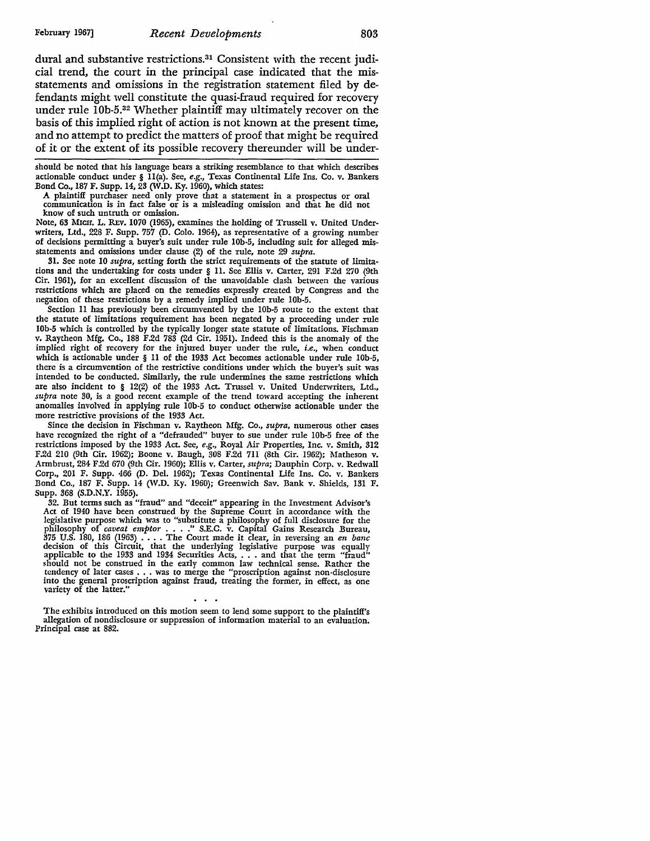dural and substantive restrictions.31 Consistent with the recent judicial trend, the court in the principal case indicated that the misstatements and omissions in the registration statement filed by defendants might well constitute the quasi-fraud required for recovery under rule IOb-5.32 Whether plaintiff may ultimately recover on the basis of this implied right of action is not known at the present time, and no attempt to predict the matters of proof that might be required of it or the extent of its possible recovery thereunder will be under-

should be noted that his language bears a striking resemblance to that which describes actionable conduct under § ll(a). See, *e.g.,* Texas Continental Life Ins. Co. v. Bankers Bond Co., 187 F. Supp. 14, 23 (W.D. Ky. 1960), which states:

A plaintiff purchaser need only prove that a statement in a prospectus or oral communication is in fact false or is a misleading omission and that he did not know of such untruth or omission.

Note, 63 MICH. L. REv. 1070 (1965), examines the holding of Trussell v. United Underwriters, Ltd., 228 F. Supp. 757 (D. Colo. 1964), as representative of a growing number of decisions permitting a buyer's suit under rule lOb-5, including suit for alleged misstatements and omissions under clause (2) of the rule, note 29 *supra.* 

31. See note 10 *supra*, setting forth the strict requirements of the statute of limitations and the undertaking for costs under § 11. See Ellis v. Carter, 291 F.2d 270 (9th Cir. 1961), for an excellent discussion of the unavoidable clash between the various restrictions which are placed on the remedies expressly created by Congress and the negation of these restrictions by a remedy implied under rule lOb-5.

Section 11 has previously been circumvented by the lOb-5 route to the extent that the statute of limitations requirement has been negated by a proceeding under rule !Ob-5 which is controlled by the typically longer state statute of limitations. Fischman v. Raytheon Mfg. Co., 188 F.2d 783 (2d Cir. 1951). Indeed this is the anomaly of the implied right of recovery for the injured buyer under the rule, *i.e.,* when conduct which is actionable under § 11 of the 1933 Act becomes actionable under rule lOb-5, there is a circumvention of the restrictive conditions under which the buyer's suit was intended to be conducted. Sinlilarly, the rule undermines the same restrictions which are also incident to § 12(2) of the 1933 Act. Trussel v. United Undenvriters, Ltd., *supra* note 30, is a good recent example of the trend toward accepting the inherent anomalies involved in applying rule !Ob-5 to conduct otherwise actionable under the more restrictive provisions of the 1933 Act.

Since the decision in Fischman v. Raytheon Mfg. Co., *supra,* numerous other cases have recognized the right of a "defrauded" buyer to sue under rule 10b·5 free of the restrictions imposed by the 1933 Act. See, *e.g.,* Royal Air Properties, Inc. v. Smith, 312 F.2d 210 (9th Cir. 1962); Boone v. Baugh, 308 F.2d 711 (8th Cir. 1962); Matheson v. Armbrust, 284 F.2d 670 (9th Cir. 1960); Ellis v. Carter, *supra;* Dauphin Corp. v. Redwall Corp., 201 F. Supp. 466 (D. Del. 1962); Texas Continental Life Ins. Co. v. Bankers Bond Co., 187 F. Supp. 14 (W.D. Ky. 1960); Greenwich Sav. Bank v. Shields, 131 F. Supp. 368 (S.D.N.Y. 1955).

32. But terms such as "fraud" and "deceit" appearing in the Investment Advisor's Act of 1940 have been construed by the Supreme Court in accordance with the legislative purpose which was to "substitute a philosophy of full disclosure for the philosophy of *caveat emptor* . . . ." S.E.C. v. Capital Gains Research Bureau, 375 U.S. 180, 186 (1963) . . . . The Court made it clear, in reversing an *en banc* decision of this Circuit, that the underlying legislative should not be construed in the early common law technical sense. Rather the tendency of later cases  $\ldots$  was to merge the "proscription against non-disclosure into the general proscription against fraud, treating the former, in effect, as one variety of the latter."

The exhibits introduced on this motion seem to lend some support to the plaintiff's allegation of nondisclosure or suppression of information material to an evaluation. Principal case at 882.